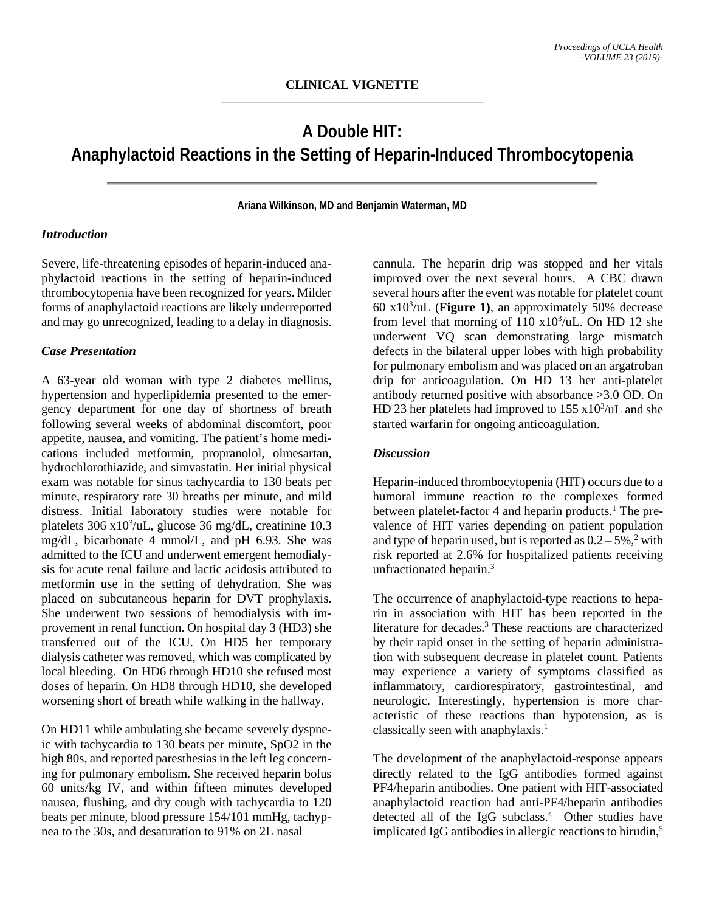# **A Double HIT: Anaphylactoid Reactions in the Setting of Heparin-Induced Thrombocytopenia**

**Ariana Wilkinson, MD and Benjamin Waterman, MD**

#### *Introduction*

Severe, life-threatening episodes of heparin-induced anaphylactoid reactions in the setting of heparin-induced thrombocytopenia have been recognized for years. Milder forms of anaphylactoid reactions are likely underreported and may go unrecognized, leading to a delay in diagnosis.

### *Case Presentation*

A 63-year old woman with type 2 diabetes mellitus, hypertension and hyperlipidemia presented to the emergency department for one day of shortness of breath following several weeks of abdominal discomfort, poor appetite, nausea, and vomiting. The patient's home medications included metformin, propranolol, olmesartan, hydrochlorothiazide, and simvastatin. Her initial physical exam was notable for sinus tachycardia to 130 beats per minute, respiratory rate 30 breaths per minute, and mild distress. Initial laboratory studies were notable for platelets 306 x10<sup>3</sup>/uL, glucose 36 mg/dL, creatinine 10.3 mg/dL, bicarbonate 4 mmol/L, and pH 6.93. She was admitted to the ICU and underwent emergent hemodialysis for acute renal failure and lactic acidosis attributed to metformin use in the setting of dehydration. She was placed on subcutaneous heparin for DVT prophylaxis. She underwent two sessions of hemodialysis with improvement in renal function. On hospital day 3 (HD3) she transferred out of the ICU. On HD5 her temporary dialysis catheter was removed, which was complicated by local bleeding. On HD6 through HD10 she refused most doses of heparin. On HD8 through HD10, she developed worsening short of breath while walking in the hallway.

On HD11 while ambulating she became severely dyspneic with tachycardia to 130 beats per minute, SpO2 in the high 80s, and reported paresthesias in the left leg concerning for pulmonary embolism. She received heparin bolus 60 units/kg IV, and within fifteen minutes developed nausea, flushing, and dry cough with tachycardia to 120 beats per minute, blood pressure 154/101 mmHg, tachypnea to the 30s, and desaturation to 91% on 2L nasal

cannula. The heparin drip was stopped and her vitals improved over the next several hours. A CBC drawn several hours after the event was notable for platelet count 60 x103 /uL (**Figure 1)**, an approximately 50% decrease from level that morning of  $110 \times 10^3/\text{uL}$ . On HD 12 she underwent VQ scan demonstrating large mismatch defects in the bilateral upper lobes with high probability for pulmonary embolism and was placed on an argatroban drip for anticoagulation. On HD 13 her anti-platelet antibody returned positive with absorbance >3.0 OD. On HD 23 her platelets had improved to  $155 \times 10^3/\text{uL}$  and she started warfarin for ongoing anticoagulation.

## *Discussion*

Heparin-induced thrombocytopenia (HIT) occurs due to a humoral immune reaction to the complexes formed between platelet-factor 4 and heparin products.<sup>1</sup> The prevalence of HIT varies depending on patient population and type of heparin used, but is reported as  $0.2 - 5\%$ ,<sup>2</sup> with risk reported at 2.6% for hospitalized patients receiving unfractionated heparin.<sup>3</sup>

The occurrence of anaphylactoid-type reactions to heparin in association with HIT has been reported in the literature for decades.<sup>3</sup> These reactions are characterized by their rapid onset in the setting of heparin administration with subsequent decrease in platelet count. Patients may experience a variety of symptoms classified as inflammatory, cardiorespiratory, gastrointestinal, and neurologic. Interestingly, hypertension is more characteristic of these reactions than hypotension, as is classically seen with anaphylaxis.<sup>1</sup>

The development of the anaphylactoid-response appears directly related to the IgG antibodies formed against PF4/heparin antibodies. One patient with HIT-associated anaphylactoid reaction had anti-PF4/heparin antibodies detected all of the IgG subclass.<sup>4</sup> Other studies have implicated IgG antibodies in allergic reactions to hirudin, $<sup>5</sup>$ </sup>